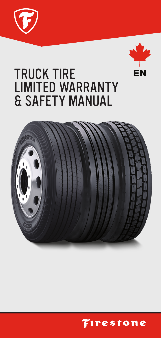



# TRUCK TIRE LIMITED WARRANTY & SAFETY MANUAL



**Firestone**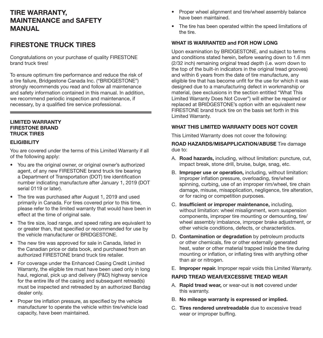# TIRE WARRANTY, MAINTENANCE and SAFETY MANUAL

## FIRESTONE TRUCK TIRES

Congratulations on your purchase of quality FIRESTONE brand truck tires!

To ensure optimum tire performance and reduce the risk of a tire failure, Bridgestone Canada Inc. ("BRIDGESTONE") strongly recommends you read and follow all maintenance and safety information contained in this manual. In addition, we recommend periodic inspection and maintenance, if necessary, by a qualified tire service professional.

## LIMITED WARRANTY FIRESTONE BRAND TRUCK TIRES

## **ELIGIBILITY**

You are covered under the terms of this Limited Warranty if all of the following apply:

- You are the original owner, or original owner's authorized agent, of any new FIRESTONE brand truck tire bearing a Department of Transportation (DOT) tire identification number indicating manufacture after January 1, 2019 (DOT serial 0119 or later).
- The tire was purchased after August 1, 2019 and used primarily in Canada. For tires covered prior to this time, please refer to the limited warranty that would have been in effect at the time of original sale.
- The tire size, load range, and speed rating are equivalent to or greater than, that specified or recommended for use by the vehicle manufacturer or BRIDGESTONE.
- The new tire was approved for sale in Canada, listed in the Canadian price or data book, and purchased from an authorized FIRESTONE brand truck tire retailer.
- For coverage under the Enhanced Casing Credit Limited Warranty, the eligible tire must have been used only in long haul, regional, pick up and delivery (P&D) highway service for the entire life of the casing and subsequent retread(s) must be inspected and retreaded by an authorized Bandag dealer only.
- Proper tire inflation pressure, as specified by the vehicle manufacturer to operate the vehicle within tire/vehicle load capacity, have been maintained.
- Proper wheel alignment and tire/wheel assembly balance have been maintained.
- The tire has been operated within the speed limitations of the tire.

## WHAT IS WARRANTED and FOR HOW LONG

Upon examination by BRIDGESTONE, and subject to terms and conditions stated herein, before wearing down to 1.6 mm (2/32 inch) remaining original tread depth (i.e. worn down to the top of the built-in indicators in the original tread grooves) and within 6 years from the date of tire manufacture, any eligible tire that has become unfit for the use for which it was designed due to a manufacturing defect in workmanship or material, (see exclusions in the section entitled "What This Limited Warranty Does Not Cover") will either be repaired or replaced at BRIDGESTONE's option with an equivalent new FIRESTONE brand truck tire on the basis set forth in this Limited Warranty.

## WHAT THIS LIMITED WARRANTY DOES NOT COVER

This Limited Warranty does not cover the following:

ROAD HAZARDS/MISAPPLICATION/ABUSE Tire damage due to:

- A. Road hazards, including, without limitation: puncture, cut, impact break, stone drill, bruise, bulge, snag, etc.
- B. Improper use or operation, including, without limitation: improper inflation pressure, overloading, tire/wheel spinning, curbing, use of an improper rim/wheel, tire chain damage, misuse, misapplication, negligence, tire alteration, or for racing or competition purposes.
- C. Insufficient or improper maintenance, including, without limitation: wheel misalignment, worn suspension components, improper tire mounting or demounting, tire/ wheel assembly imbalance, improper brake adjustment, or other vehicle conditions, defects, or characteristics.
- D. **Contamination or degradation** by petroleum products or other chemicals, fire or other externally generated heat, water or other material trapped inside the tire during mounting or inflation, or inflating tires with anything other than air or nitrogen.
- E. Improper repair. Improper repair voids this Limited Warranty.

## RAPID TREAD WEAR/EXCESSIVE TREAD WEAR

- A. Rapid tread wear, or wear-out is not covered under this warranty.
- B. No mileage warranty is expressed or implied.
- C. Tires rendered unretreadable due to excessive tread wear or improper buffing.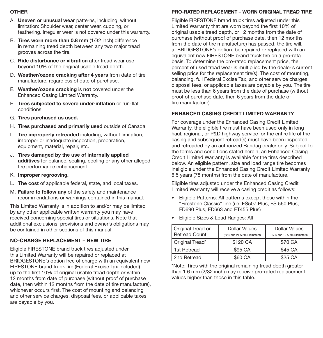## OTHER

- A. Uneven or unusual wear patterns, including, without limitation: Shoulder wear, center wear, cupping, or feathering. Irregular wear is not covered under this warranty.
- B. Tires worn more than 0.8 mm (1/32 inch) difference in remaining tread depth between any two major tread grooves across the tire.
- C. Ride disturbance or vibration after tread wear use beyond 10% of the original usable tread depth.
- D. Weather/ozone cracking after 4 years from date of tire manufacture, regardless of date of purchase.
- E. Weather/ozone cracking is not covered under the Enhanced Casing Limited Warranty.
- F. Tires subjected to severe under-inflation or run-flat conditions.
- G. Tires purchased as used.
- H. Tires purchased and primarily used outside of Canada.
- I. Tire improperly retreaded including, without limitation, improper or inadequate inspection, preparation, equipment, material, repair, etc.
- J. Tires damaged by the use of internally applied additives for balance, sealing, cooling or any other alleged tire performance enhancement.
- K. Improper regrooving.
- L. The cost of applicable federal, state, and local taxes.
- M. Failure to follow any of the safety and maintenance recommendations or warnings contained in this manual.

This Limited Warranty is in addition to and/or may be limited by any other applicable written warranty you may have received concerning special tires or situations. Note that additional exclusions, provisions and owner's obligations may be contained in other sections of this manual.

## NO-CHARGE REPLACEMENT – NEW TIRE

Eligible FIRESTONE brand truck tires adjusted under this Limited Warranty will be repaired or replaced at BRIDGESTONE's option free of charge with an equivalent new FIRESTONE brand truck tire (Federal Excise Tax included) up to the first 10% of original usable tread depth or within 12 months from date of purchase (without proof of purchase date, then within 12 months from the date of tire manufacture), whichever occurs first. The cost of mounting and balancing and other service charges, disposal fees, or applicable taxes are payable by you.

# PRO-RATED REPLACEMENT – WORN ORIGINAL TREAD TIRE

Eligible FIRESTONE brand truck tires adjusted under this Limited Warranty that are worn beyond the first 10% of original usable tread depth, or 12 months from the date of purchase (without proof of purchase date, then 12 months from the date of tire manufacture) has passed, the tire will, at BRIDGESTONE's option, be repaired or replaced with an equivalent new FIRESTONE brand truck tire on a pro-rata basis. To determine the pro-rated replacement price, the percent of used tread wear is multiplied by the dealer's current selling price for the replacement tire(s). The cost of mounting, balancing, full Federal Excise Tax, and other service charges, disposal fees, or applicable taxes are payable by you. The tire must be less than 6 years from the date of purchase (without proof of purchase date, then 6 years from the date of tire manufacture).

## ENHANCED CASING CREDIT LIMITED WARRANTY

For coverage under the Enhanced Casing Credit Limited Warranty, the eligible tire must have been used only in long haul, regional, or P&D highway service for the entire life of the casing and subsequent retread(s) must have been inspected and retreaded by an authorized Bandag dealer only. Subject to the terms and conditions stated herein, an Enhanced Casing Credit Limited Warranty is available for the tires described below. An eligible pattern, size and load range tire becomes ineligible under the Enhanced Casing Credit Limited Warranty 6.5 years (78 months) from the date of manufacture.

Eligible tires adjusted under the Enhanced Casing Credit Limited Warranty will receive a casing credit as follows:

- Eligible Patterns: All patterns except those within the "Firestone Classic" line (i.e. FS507 Plus, FS 560 Plus, FD690 Plus, FD663 and FT455 Plus)
- Eligible Sizes & Load Ranges: All

| Original Tread or | <b>Dollar Values</b>          | <b>Dollar Values</b>          |
|-------------------|-------------------------------|-------------------------------|
| Retread Count     | (22.5 and 24.5 rim Diameters) | (17.5 and 19.5 rim Diameters) |
| Original Tread*   | \$120 CA                      | \$70 CA                       |
| 1st Retread       | \$95 CA                       | \$45 CA                       |
| 2nd Retread       | \$60 CA                       | \$25 CA                       |

\*Note: Tires with the original remaining tread depth greater than 1.6 mm (2/32 inch) may receive pro-rated replacement values higher than those in this table.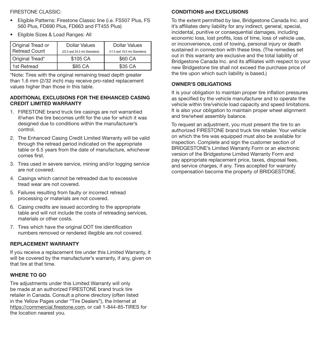## FIRESTONE CLASSIC:

- Eligible Patterns: Firestone Classic line (i.e. FS507 Plus, FS 560 Plus, FD690 Plus, FD663 and FT455 Plus)
- Eligible Sizes & Load Ranges: All

| Original Tread or<br>Retread Count | <b>Dollar Values</b><br>(22.5 and 24.5 rim Diameters) | <b>Dollar Values</b><br>(17.5 and 19.5 rim Diameters) |
|------------------------------------|-------------------------------------------------------|-------------------------------------------------------|
| Original Tread*                    | \$105 CA                                              | \$60 CA                                               |
| 1st Retread                        | \$85 CA                                               | \$35 CA                                               |

\*Note: Tires with the original remaining tread depth greater than 1.6 mm (2/32 inch) may receive pro-rated replacement values higher than those in this table.

## ADDITIONAL EXCLUSIONS FOR THE ENHANCED CASING CREDIT LIMITED WARRANTY

- 1. FIRESTONE brand truck tire casings are not warrantied if/when the tire becomes unfit for the use for which it was designed due to conditions within the manufacturer's control.
- 2. The Enhanced Casing Credit Limited Warranty will be valid through the retread period indicated on the appropriate table or 6.5 years from the date of manufacture, whichever comes first.
- 3. Tires used in severe service, mining and/or logging service are not covered.
- 4. Casings which cannot be retreaded due to excessive tread wear are not covered.
- 5. Failures resulting from faulty or incorrect retread processing or materials are not covered.
- 6. Casing credits are issued according to the appropriate table and will not include the costs of retreading services, materials or other costs.
- 7. Tires which have the original DOT tire identification numbers removed or rendered illegible are not covered.

## REPLACEMENT WARRANTY

If you receive a replacement tire under this Limited Warranty, it will be covered by the manufacturer's warranty, if any, given on that tire at that time.

## WHERE TO GO

Tire adjustments under this Limited Warranty will only be made at an authorized FIRESTONE brand truck tire retailer in Canada. Consult a phone directory (often listed in the Yellow Pages under "Tire Dealers"), the Internet at https://commercial.firestone.com, or call 1-844-85-TIRES for the location nearest you.

## CONDITIONS and EXCLUSIONS

To the extent permitted by law, Bridgestone Canada Inc. and it's affiliates deny liability for any indirect, general, special, incidental, punitive or consequential damages, including economic loss, lost profits, loss of time, loss of vehicle use, or inconvenience, cost of towing, personal injury or death sustained in connection with these tires. (The remedies set out in this warranty are exclusive and the total liability of Bridgestone Canada Inc. and its affiliates with respect to your new Bridgestone tire shall not exceed the purchase price of the tire upon which such liability is based.)

## OWNER'S OBLIGATIONS

It is your obligation to maintain proper tire inflation pressures as specified by the vehicle manufacturer and to operate the vehicle within tire/vehicle load capacity and speed limitations. It is also your obligation to maintain proper wheel alignment and tire/wheel assembly balance.

To request an adjustment, you must present the tire to an authorized FIRESTONE brand truck tire retailer. Your vehicle on which the tire was equipped must also be available for inspection. Complete and sign the customer section of BRIDGESTONE's Limited Warranty Form or an electronic version of the Bridgestone Limited Warranty Form and pay appropriate replacement price, taxes, disposal fees, and service charges, if any. Tires accepted for warranty compensation become the property of BRIDGESTONE.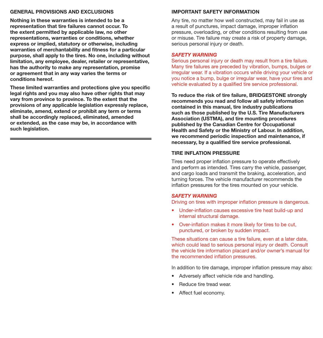### GENERAL PROVISIONS AND EXCLUSIONS

Nothing in these warranties is intended to be a representation that tire failures cannot occur. To the extent permitted by applicable law, no other representations, warranties or conditions, whether express or implied, statutory or otherwise, including warranties of merchantability and fitness for a particular purpose, shall apply to the tires. No one, including without limitation, any employee, dealer, retailer or representative, has the authority to make any representation, promise or agreement that in any way varies the terms or conditions hereof.

These limited warranties and protections give you specific legal rights and you may also have other rights that may vary from province to province. To the extent that the provisions of any applicable legislation expressly replace, eliminate, amend, extend or prohibit any term or terms shall be accordingly replaced, eliminated, amended or extended, as the case may be, in accordance with such legislation.

## IMPORTANT SAFETY INFORMATION

Any tire, no matter how well constructed, may fail in use as a result of punctures, impact damage, improper inflation pressure, overloading, or other conditions resulting from use or misuse. Tire failure may create a risk of property damage, serious personal injury or death.

#### *SAFETY WARNING*

Serious personal injury or death may result from a tire failure. Many tire failures are preceded by vibration, bumps, bulges or irregular wear. If a vibration occurs while driving your vehicle or you notice a bump, bulge or irregular wear, have your tires and vehicle evaluated by a qualified tire service professional.

To reduce the risk of tire failure, BRIDGESTONE strongly recommends you read and follow all safety information contained in this manual, tire industry publications such as those published by the U.S. Tire Manufacturers Association (USTMA), and tire mounting procedures published by the Canadian Centre for Occupational Health and Safety or the Ministry of Labour. In addition, we recommend periodic inspection and maintenance, if necessary, by a qualified tire service professional.

#### TIRE INFLATION PRESSURE

Tires need proper inflation pressure to operate effectively and perform as intended. Tires carry the vehicle, passenger, and cargo loads and transmit the braking, acceleration, and turning forces. The vehicle manufacturer recommends the inflation pressures for the tires mounted on your vehicle.

#### *SAFETY WARNING*

Driving on tires with improper inflation pressure is dangerous.

- Under-inflation causes excessive tire heat build-up and internal structural damage.
- Over-inflation makes it more likely for tires to be cut, punctured, or broken by sudden impact.

These situations can cause a tire failure, even at a later date, which could lead to serious personal injury or death. Consult the vehicle tire information placard and/or owner's manual for the recommended inflation pressures.

In addition to tire damage, improper inflation pressure may also:

- Adversely affect vehicle ride and handling.
- Reduce tire tread wear.
- Affect fuel economy.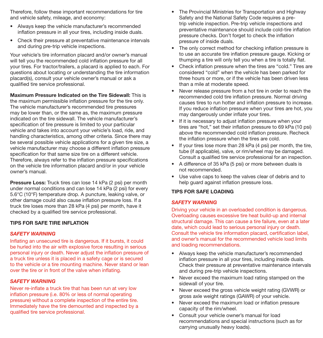Therefore, follow these important recommendations for tire and vehicle safety, mileage, and economy:

- Always keep the vehicle manufacturer's recommended inflation pressure in all your tires, including inside duals.
- Check their pressure at preventative maintenance intervals and during pre-trip vehicle inspections.

Your vehicle's tire information placard and/or owner's manual will tell you the recommended cold inflation pressure for all your tires. For tractor/trailers, a placard is applied to each. For questions about locating or understanding the tire information placard(s), consult your vehicle owner's manual or ask a qualified tire service professional.

Maximum Pressure Indicated on the Tire Sidewall: This is the maximum permissible inflation pressure for the tire only. The vehicle manufacturer's recommended tire pressures may be lower than, or the same as, the maximum pressure indicated on the tire sidewall. The vehicle manufacturer's specification of tire pressure is limited to your particular vehicle and takes into account your vehicle's load, ride, and handling characteristics, among other criteria. Since there may be several possible vehicle applications for a given tire size, a vehicle manufacturer may choose a different inflation pressure specification for that same size tire on a different vehicle. Therefore, always refer to the inflation pressure specifications on the vehicle tire information placard and/or in your vehicle owner's manual.

**Pressure Loss:** Truck tires can lose 14 kPa (2 psi) per month under normal conditions and can lose 14 kPa (2 psi) for every 5.6°C (10°F) temperature drop. A puncture, leaking valve, or other damage could also cause inflation pressure loss. If a truck tire loses more than 28 kPa (4 psi) per month, have it checked by a qualified tire service professional.

## TIPS FOR SAFE TIRE INFLATION

#### *SAFETY WARNING*

Inflating an unsecured tire is dangerous. If it bursts, it could be hurled into the air with explosive force resulting in serious personal injury or death. Never adjust the inflation pressure of a truck tire unless it is placed in a safety cage or is secured to the vehicle or a tire mounting machine. Never stand or lean over the tire or in front of the valve when inflating.

#### *SAFETY WARNING*

Never re-inflate a truck tire that has been run at very low inflation pressure (i.e. 80% or less of normal operating pressure) without a complete inspection of the entire tire. Immediately have the tire demounted and inspected by a qualified tire service professional.

- The Provincial Ministries for Transportation and Highway Safety and the National Safety Code requires a pretrip vehicle inspection. Pre-trip vehicle inspections and preventative maintenance should include cold-tire inflation pressure checks. Don't forget to check the inflation pressure of inside duals.
- The only correct method for checking inflation pressure is to use an accurate tire inflation pressure gauge. Kicking or thumping a tire will only tell you when a tire is totally flat.
- Check inflation pressure when the tires are "cold." Tires are considered "cold" when the vehicle has been parked for three hours or more, or if the vehicle has been driven less than a mile at moderate speed.
- Never release pressure from a hot tire in order to reach the recommended cold tire inflation pressure. Normal driving causes tires to run hotter and inflation pressure to increase. If you reduce inflation pressure when your tires are hot, you may dangerously under inflate your tires.
- If it is necessary to adjust inflation pressure when your tires are "hot," set their inflation pressure to 69 kPa (10 psi) above the recommended cold inflation pressure. Recheck the inflation pressure when the tires are cold.
- If your tires lose more than 28 kPa (4 psi) per month, the tire, tube (if applicable), valve, or rim/wheel may be damaged. Consult a qualified tire service professional for an inspection.
- A difference of 35 kPa (5 psi) or more between duals is not recommended.
- Use valve caps to keep the valves clear of debris and to help guard against inflation pressure loss.

### TIPS FOR SAFE LOADING

#### *SAFETY WARNING*

Driving your vehicle in an overloaded condition is dangerous. Overloading causes excessive tire heat build-up and internal structural damage. This can cause a tire failure, even at a later date, which could lead to serious personal injury or death. Consult the vehicle tire information placard, certification label, and owner's manual for the recommended vehicle load limits and loading recommendations.

- Always keep the vehicle manufacturer's recommended inflation pressure in all your tires, including inside duals. Check their pressure at preventative maintenance intervals and during pre-trip vehicle inspections.
- Never exceed the maximum load rating stamped on the sidewall of your tire.
- Never exceed the gross vehicle weight rating (GVWR) or gross axle weight ratings (GAWR) of your vehicle.
- Never exceed the maximum load or inflation pressure capacity of the rim/wheel.
- Consult your vehicle owner's manual for load recommendations and special instructions (such as for carrying unusually heavy loads).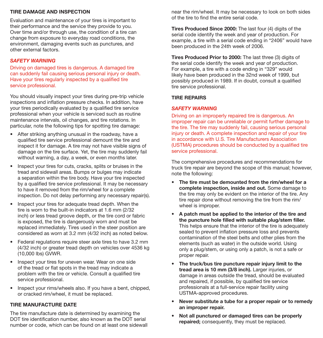## TIRE DAMAGE AND INSPECTION

Evaluation and maintenance of your tires is important to their performance and the service they provide to you. Over time and/or through use, the condition of a tire can change from exposure to everyday road conditions, the environment, damaging events such as punctures, and other external factors.

## *SAFETY WARNING*

Driving on damaged tires is dangerous. A damaged tire can suddenly fail causing serious personal injury or death. Have your tires regularly inspected by a qualified tire service professional.

You should visually inspect your tires during pre-trip vehicle inspections and inflation pressure checks. In addition, have your tires periodically evaluated by a qualified tire service professional when your vehicle is serviced such as routine maintenance intervals, oil changes, and tire rotations. In particular, note the following tips for spotting tire damage:

- After striking anything unusual in the roadway, have a qualified tire service professional demount the tire and inspect it for damage. A tire may not have visible signs of damage on the tire surface. Yet, the tire may suddenly fail without warning, a day, a week, or even months later.
- Inspect your tires for cuts, cracks, splits or bruises in the tread and sidewall areas. Bumps or bulges may indicate a separation within the tire body. Have your tire inspected by a qualified tire service professional. It may be necessary to have it removed from the rim/wheel for a complete inspection. Do not delay performing any necessary repair(s).
- Inspect your tires for adequate tread depth. When the tire is worn to the built-in indicators at 1.6 mm (2/32 inch) or less tread groove depth, or the tire cord or fabric is exposed, the tire is dangerously worn and must be replaced immediately. Tires used in the steer position are considered as worn at 3.2 mm (4/32 inch) as noted below.
- Federal regulations require steer axle tires to have 3.2 mm (4/32 inch) or greater tread depth on vehicles over 4536 kg (10,000 lbs) GVWR.
- Inspect your tires for uneven wear. Wear on one side of the tread or flat spots in the tread may indicate a problem with the tire or vehicle. Consult a qualified tire service professional.
- Inspect your rims/wheels also. If you have a bent, chipped, or cracked rim/wheel, it must be replaced.

## TIRE MANUFACTURE DATE

The tire manufacture date is determined by examining the DOT tire identification number, also known as the DOT serial number or code, which can be found on at least one sidewall near the rim/wheel. It may be necessary to look on both sides of the tire to find the entire serial code.

Tires Produced Since 2000: The last four (4) digits of the serial code identify the week and year of production. For example, a tire with a serial code ending in "2406" would have been produced in the 24th week of 2006.

Tires Produced Prior to 2000: The last three (3) digits of the serial code identify the week and year of production. For example, a tire with a code ending in "329" would likely have been produced in the 32nd week of 1999, but possibly produced in 1989. If in doubt, consult a qualified tire service professional.

## TIRE REPAIRS

## *SAFETY WARNING*

Driving on an improperly repaired tire is dangerous. An improper repair can be unreliable or permit further damage to the tire. The tire may suddenly fail, causing serious personal injury or death. A complete inspection and repair of your tire in accordance with U.S. Tire Manufacturers Association (USTMA) procedures should be conducted by a qualified tire service professional.

The comprehensive procedures and recommendations for truck tire repair are beyond the scope of this manual; however, note the following:

- The tire must be demounted from the rim/wheel for a complete inspection, inside and out. Some damage to the tire may only be evident on the interior of the tire. Any tire repair done without removing the tire from the rim/ wheel is improper.
- A patch must be applied to the interior of the tire and the puncture hole filled with suitable plug/stem filler. This helps ensure that the interior of the tire is adequately sealed to prevent inflation pressure loss and prevents contamination of the steel belts and other plies from the elements (such as water) in the outside world. Using only a plug/stem, or using only a patch, is not a safe or proper repair.
- The truck/bus tire puncture repair injury limit to the tread area is 10 mm (3/8 inch). Larger injuries, or damage in areas outside the tread, should be evaluated and repaired, if possible, by qualified tire service professionals at a full-service repair facility using USTMA-approved procedures.
- Never substitute a tube for a proper repair or to remedy an improper repair.
- Not all punctured or damaged tires can be properly repaired: consequently, they must be replaced.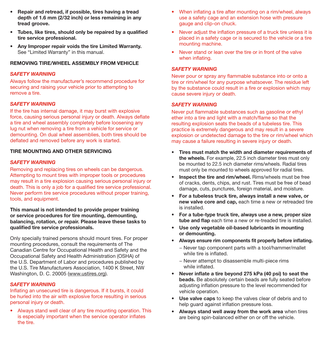- Repair and retread, if possible, tires having a tread depth of 1.6 mm (2/32 inch) or less remaining in any tread groove.
- Tubes, like tires, should only be repaired by a qualified tire service professional.
- Any Improper repair voids the tire Limited Warranty. See "Limited Warranty" in this manual.

## REMOVING TIRE/WHEEL ASSEMBLY FROM VEHICLE

## *SAFETY WARNING*

Always follow the manufacturer's recommend procedure for securing and raising your vehicle prior to attempting to remove a tire.

## *SAFETY WARNING*

If the tire has internal damage, it may burst with explosive force, causing serious personal injury or death. Always deflate a tire and wheel assembly completely before loosening any lug nut when removing a tire from a vehicle for service or demounting. On dual wheel assemblies, both tires should be deflated and removed before any work is started.

## TIRE MOUNTING AND OTHER SERVICING

## *SAFETY WARNING*

Removing and replacing tires on wheels can be dangerous. Attempting to mount tires with improper tools or procedures may result in a tire explosion causing serious personal injury or death. This is only a job for a qualified tire service professional. Never perform tire service procedures without proper training, tools, and equipment.

This manual is not intended to provide proper training or service procedures for tire mounting, demounting, balancing, rotation, or repair. Please leave these tasks to qualified tire service professionals.

Only specially trained persons should mount tires. For proper mounting procedures, consult the requirements of The Canadian Centre for Occupational Health and Safety and the Occupational Safety and Health Administration (OSHA) of the U.S. Department of Labor and procedures published by the U.S. Tire Manufacturers Association, 1400 K Street, NW Washington, D. C. 20005 (www.ustires.org).

## *SAFETY WARNING*

Inflating an unsecured tire is dangerous. If it bursts, it could be hurled into the air with explosive force resulting in serious personal injury or death.

• Always stand well clear of any tire mounting operation. This is especially important when the service operator inflates the tire.

- When inflating a tire after mounting on a rim/wheel, always use a safety cage and an extension hose with pressure gauge and clip-on chuck.
- Never adjust the inflation pressure of a truck tire unless it is placed in a safety cage or is secured to the vehicle or a tire mounting machine.
- Never stand or lean over the tire or in front of the valve when inflating.

## *SAFETY WARNING*

Never pour or spray any flammable substance into or onto a tire or rim/wheel for any purpose whatsoever. The residue left by the substance could result in a fire or explosion which may cause severe injury or death.

## *SAFETY WARNING*

Never put flammable substances such as gasoline or ethyl ether into a tire and light with a match/flame so that the resulting explosion seats the beads of a tubeless tire. This practice is extremely dangerous and may result in a severe explosion or undetected damage to the tire or rim/wheel which may cause a failure resulting in severe injury or death.

- Tires must match the width and diameter requirements of the wheels. For example, 22.5 inch diameter tires must only be mounted to 22.5 inch diameter rims/wheels. Radial tires must only be mounted to wheels approved for radial tires.
- **Inspect the tire and rim/wheel.** Rims/wheels must be free of cracks, dents, chips, and rust. Tires must be free of bead damage, cuts, punctures, foreign material, and moisture.
- For a tubeless truck tire, always install a new valve, or new valve core and cap, each time a new or retreaded tire is installed.
- For a tube-type truck tire, always use a new, proper size tube and flap each time a new or re-treaded tire is installed.
- Use only vegetable oil-based lubricants in mounting or demounting.
- Always ensure rim components fit properly before inflating.
	- − Never tap component parts with a tool/hammer/mallet while tire is inflated.
	- − Never attempt to disassemble multi-piece rims while inflated.
- Never inflate a tire beyond 275 kPa (40 psi) to seat the beads. Be absolutely certain beads are fully seated before adjusting inflation pressure to the level recommended for vehicle operation.
- Use valve caps to keep the valves clear of debris and to help guard against inflation pressure loss.
- Always stand well away from the work area when tires are being spin-balanced either on or off the vehicle.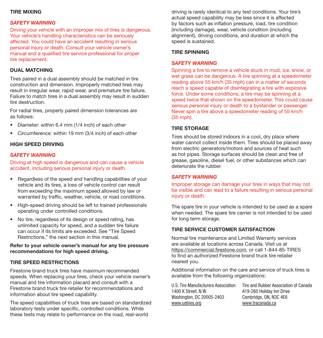## TIRE MIXING

## *SAFETY WARNING*

Driving your vehicle with an improper mix of tires is dangerous. Your vehicle's handling characteristics can be seriously affected. You could have an accident resulting in serious personal injury or death. Consult your vehicle owner's manual and a qualified tire service professional for proper tire replacement.

## DUAL MATCHING

Tires paired in a dual assembly should be matched in tire construction and dimension. Improperly matched tires may result in irregular wear, rapid wear, and premature tire failure. Failure to match tires in a dual assembly may result in sudden tire destruction.

For radial tires, properly paired dimension tolerances are as follows:

- Diameter: within 6.4 mm (1/4 inch) of each other
- Circumference: within 19 mm (3/4 inch) of each other

#### HIGH SPEED DRIVING

## *SAFETY WARNING*

Driving at high speed is dangerous and can cause a vehicle accident, including serious personal injury or death.

- Regardless of the speed and handling capabilities of your vehicle and its tires, a loss of vehicle control can result from exceeding the maximum speed allowed by law or warranted by traffic, weather, vehicle, or road conditions.
- High-speed driving should be left to trained professionals operating under controlled conditions.
- No tire, regardless of its design or speed rating, has unlimited capacity for speed, and a sudden tire failure can occur if its limits are exceeded. See "Tire Speed Restrictions," the next section in this manual.

### Refer to your vehicle owner's manual for any tire pressure recommendations for high speed driving.

## TIRE SPEED RESTRICTIONS

Firestone brand truck tires have maximum recommended speeds. When replacing your tires, check your vehicle owner's manual and tire information placard and consult with a Firestone brand truck tire retailer for recommendations and information about tire speed capability.

The speed capabilities of truck tires are based on standardized laboratory tests under specific, controlled conditions. While these tests may relate to performance on the road, real-world

driving is rarely identical to any test conditions. Your tire's actual speed capability may be less since it is affected by factors such as inflation pressure, load, tire condition (including damage), wear, vehicle condition (including alignment), driving conditions, and duration at which the speed is sustained.

#### TIRE SPINNING

#### *SAFETY WARNING*

Spinning a tire to remove a vehicle stuck in mud, ice, snow, or wet grass can be dangerous. A tire spinning at a speedometer reading above 55 km/h (35 mph) can in a matter of seconds reach a speed capable of disintegrating a tire with explosive force. Under some conditions, a tire may be spinning at a speed twice that shown on the speedometer. This could cause serious personal injury or death to a bystander or passenger. Never spin a tire above a speedometer reading of 55 km/h (35 mph).

### TIRE STORAGE

Tires should be stored indoors in a cool, dry place where water cannot collect inside them. Tires should be placed away from electric generators/motors and sources of heat such as hot pipes. Storage surfaces should be clean and free of grease, gasoline, diesel fuel, or other substances which can deteriorate the rubber.

### *SAFETY WARNING*

Improper storage can damage your tires in ways that may not be visible and can lead to a failure resulting in serious personal injury or death.

The spare tire in your vehicle is intended to be used as a spare when needed. The spare tire carrier is not intended to be used for long term storage.

#### TIRE SERVICE CUSTOMER SATISFACTION

Normal tire maintenance and Limited Warranty services are available at locations across Canada. Visit us at https://commercial.firestone.com, or call 1-844-85-TIRES to find an authorized Firestone brand truck tire retailer nearest you.

Additional information on the care and service of truck tires is available from the following organizations:

U.S. Tire Manufacturers Association 1400 K Street, N.W. Washington, DC 20005-2403 www.ustires.org

Tire and Rubber Association of Canada A19-260 Holiday Inn Drive Cambridge, ON, N3C 4E8 www.tracanada.ca